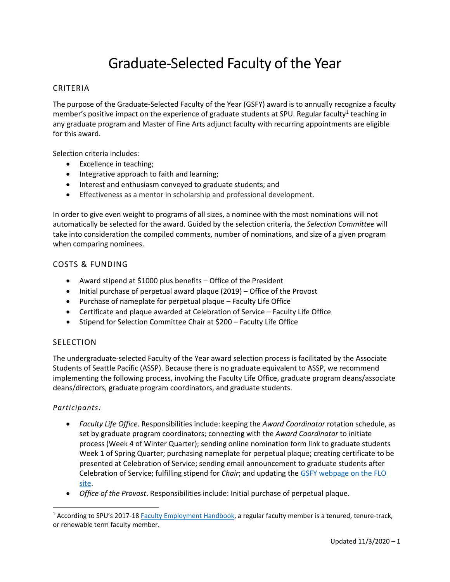## Graduate-Selected Faculty of the Year

### CRITERIA

The purpose of the Graduate-Selected Faculty of the Year (GSFY) award is to annually recognize a faculty member's positive impact on the experience of graduate students at SPU. Regular faculty<sup>[1](#page-0-0)</sup> teaching in any graduate program and Master of Fine Arts adjunct faculty with recurring appointments are eligible for this award.

Selection criteria includes:

- Excellence in teaching;
- Integrative approach to faith and learning;
- Interest and enthusiasm conveyed to graduate students; and
- Effectiveness as a mentor in scholarship and professional development.

In order to give even weight to programs of all sizes, a nominee with the most nominations will not automatically be selected for the award. Guided by the selection criteria, the *Selection Committee* will take into consideration the compiled comments, number of nominations, and size of a given program when comparing nominees.

## COSTS & FUNDING

- Award stipend at \$1000 plus benefits Office of the President
- Initial purchase of perpetual award plaque (2019) Office of the Provost
- Purchase of nameplate for perpetual plaque Faculty Life Office
- Certificate and plaque awarded at Celebration of Service Faculty Life Office
- Stipend for Selection Committee Chair at \$200 Faculty Life Office

### SELECTION

The undergraduate-selected Faculty of the Year award selection process is facilitated by the Associate Students of Seattle Pacific (ASSP). Because there is no graduate equivalent to ASSP, we recommend implementing the following process, involving the Faculty Life Office, graduate program deans/associate deans/directors, graduate program coordinators, and graduate students.

### *Participants:*

- *Faculty Life Office*. Responsibilities include: keeping the *Award Coordinator* rotation schedule, as set by graduate program coordinators; connecting with the *Award Coordinator* to initiate process (Week 4 of Winter Quarter); sending online nomination form link to graduate students Week 1 of Spring Quarter; purchasing nameplate for perpetual plaque; creating certificate to be presented at Celebration of Service; sending email announcement to graduate students after Celebration of Service; fulfilling stipend for *Chair*; and updating the [GSFY webpage on the FLO](https://digitalobby.spu.edu/csfd/graduate-student-selected-faculty-of-the-year-award/) [site.](https://digitalobby.spu.edu/csfd/graduate-student-selected-faculty-of-the-year-award/)
- *Office of the Provost*. Responsibilities include: Initial purchase of perpetual plaque.

<span id="page-0-0"></span><sup>&</sup>lt;sup>1</sup> According to SPU's 2017-18 [Faculty Employment Handbook,](https://spu.edu/%7E/media/university-leadership/provost/documents/201718facultyhandbook.ashx) a regular faculty member is a tenured, tenure-track, or renewable term faculty member.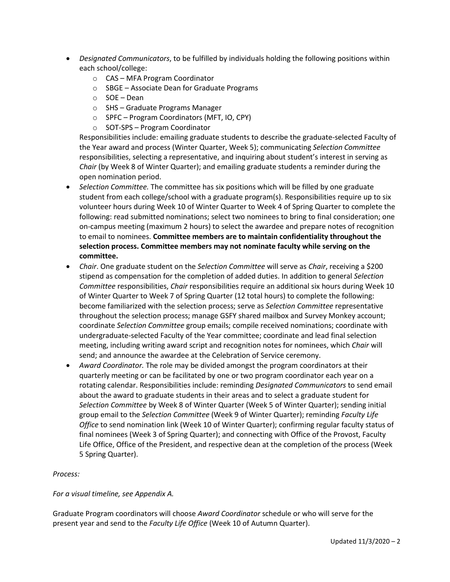- *Designated Communicators*, to be fulfilled by individuals holding the following positions within each school/college:
	- o CAS MFA Program Coordinator
	- o SBGE Associate Dean for Graduate Programs
	- o SOE Dean
	- o SHS Graduate Programs Manager
	- o SPFC Program Coordinators (MFT, IO, CPY)
	- o SOT-SPS Program Coordinator

Responsibilities include: emailing graduate students to describe the graduate-selected Faculty of the Year award and process (Winter Quarter, Week 5); communicating *Selection Committee* responsibilities, selecting a representative, and inquiring about student's interest in serving as *Chair* (by Week 8 of Winter Quarter); and emailing graduate students a reminder during the open nomination period.

- *Selection Committee.* The committee has six positions which will be filled by one graduate student from each college/school with a graduate program(s). Responsibilities require up to six volunteer hours during Week 10 of Winter Quarter to Week 4 of Spring Quarter to complete the following: read submitted nominations; select two nominees to bring to final consideration; one on-campus meeting (maximum 2 hours) to select the awardee and prepare notes of recognition to email to nominees. **Committee members are to maintain confidentiality throughout the selection process. Committee members may not nominate faculty while serving on the committee.**
- *Chair*. One graduate student on the *Selection Committee* will serve as *Chair*, receiving a \$200 stipend as compensation for the completion of added duties. In addition to general *Selection Committee* responsibilities, *Chair* responsibilities require an additional six hours during Week 10 of Winter Quarter to Week 7 of Spring Quarter (12 total hours) to complete the following: become familiarized with the selection process; serve as *Selection Committee* representative throughout the selection process; manage GSFY shared mailbox and Survey Monkey account; coordinate *Selection Committee* group emails; compile received nominations; coordinate with undergraduate-selected Faculty of the Year committee; coordinate and lead final selection meeting, including writing award script and recognition notes for nominees, which *Chair* will send; and announce the awardee at the Celebration of Service ceremony.
- *Award Coordinator.* The role may be divided amongst the program coordinators at their quarterly meeting or can be facilitated by one or two program coordinator each year on a rotating calendar. Responsibilities include: reminding *Designated Communicators* to send email about the award to graduate students in their areas and to select a graduate student for *Selection Committee* by Week 8 of Winter Quarter (Week 5 of Winter Quarter); sending initial group email to the *Selection Committee* (Week 9 of Winter Quarter); reminding *Faculty Life Office* to send nomination link (Week 10 of Winter Quarter); confirming regular faculty status of final nominees (Week 3 of Spring Quarter); and connecting with Office of the Provost, Faculty Life Office, Office of the President, and respective dean at the completion of the process (Week 5 Spring Quarter).

### *Process:*

*For a visual timeline, see Appendix A.*

Graduate Program coordinators will choose *Award Coordinator* schedule or who will serve for the present year and send to the *Faculty Life Office* (Week 10 of Autumn Quarter).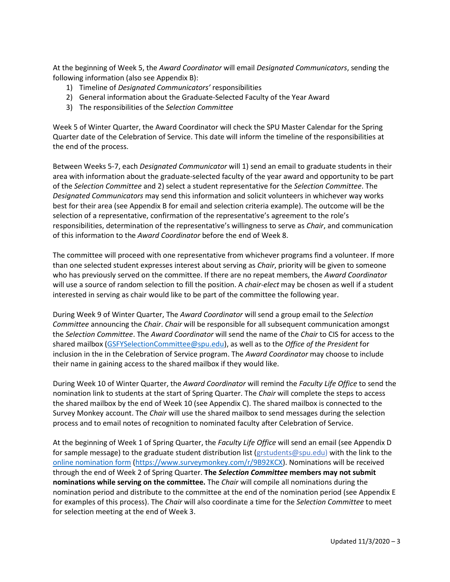At the beginning of Week 5, the *Award Coordinator* will email *Designated Communicators*, sending the following information (also see Appendix B):

- 1) Timeline of *Designated Communicators'* responsibilities
- 2) General information about the Graduate-Selected Faculty of the Year Award
- 3) The responsibilities of the *Selection Committee*

Week 5 of Winter Quarter, the Award Coordinator will check the SPU Master Calendar for the Spring Quarter date of the Celebration of Service. This date will inform the timeline of the responsibilities at the end of the process.

Between Weeks 5-7, each *Designated Communicator* will 1) send an email to graduate students in their area with information about the graduate-selected faculty of the year award and opportunity to be part of the *Selection Committee* and 2) select a student representative for the *Selection Committee*. The *Designated Communicators* may send this information and solicit volunteers in whichever way works best for their area (see Appendix B for email and selection criteria example). The outcome will be the selection of a representative, confirmation of the representative's agreement to the role's responsibilities, determination of the representative's willingness to serve as *Chair*, and communication of this information to the *Award Coordinator* before the end of Week 8.

The committee will proceed with one representative from whichever programs find a volunteer. If more than one selected student expresses interest about serving as *Chair*, priority will be given to someone who has previously served on the committee. If there are no repeat members, the *Award Coordinator*  will use a source of random selection to fill the position. A *chair-elect* may be chosen as well if a student interested in serving as chair would like to be part of the committee the following year.

During Week 9 of Winter Quarter, The *Award Coordinator* will send a group email to the *Selection Committee* announcing the *Chair*. *Chair* will be responsible for all subsequent communication amongst the *Selection Committee*. The *Award Coordinator* will send the name of the *Chair* to CIS for access to the shared mailbox [\(GSFYSelectionCommittee@spu.edu\)](mailto:GSFYSelectionCommittee@spu.edu), as well as to the *Office of the President* for inclusion in the in the Celebration of Service program. The *Award Coordinator* may choose to include their name in gaining access to the shared mailbox if they would like.

During Week 10 of Winter Quarter, the *Award Coordinator* will remind the *Faculty Life Office* to send the nomination link to students at the start of Spring Quarter. The *Chair* will complete the steps to access the shared mailbox by the end of Week 10 (see Appendix C). The shared mailbox is connected to the Survey Monkey account. The *Chair* will use the shared mailbox to send messages during the selection process and to email notes of recognition to nominated faculty after Celebration of Service.

At the beginning of Week 1 of Spring Quarter, the *Faculty Life Office* will send an email (see Appendix D for sample message) to the graduate student distribution list [\(grstudents@spu.edu\)](mailto:grstudents@spu.edu) with the link to the [online nomination form \(https://www.surveymonkey.com/r/9B92KCX\)](https://www.surveymonkey.com/r/9B92KCX). Nominations will be received through the end of Week 2 of Spring Quarter. **The** *Selection Committee* **members may not submit nominations while serving on the committee.** The *Chair* will compile all nominations during the nomination period and distribute to the committee at the end of the nomination period (see Appendix E for examples of this process). The *Chair* will also coordinate a time for the *Selection Committee* to meet for selection meeting at the end of Week 3.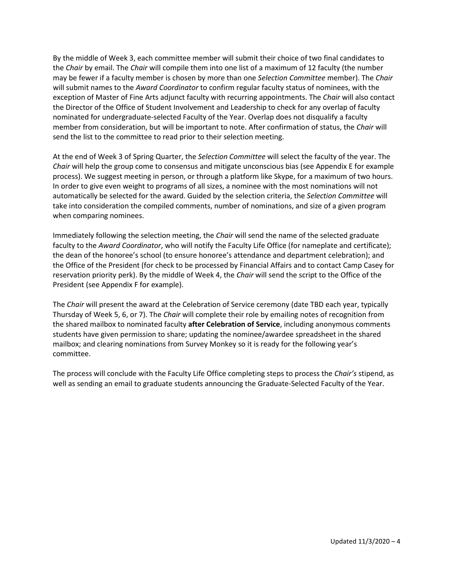By the middle of Week 3, each committee member will submit their choice of two final candidates to the *Chair* by email. The *Chair* will compile them into one list of a maximum of 12 faculty (the number may be fewer if a faculty member is chosen by more than one *Selection Committee* member). The *Chair*  will submit names to the *Award Coordinator* to confirm regular faculty status of nominees, with the exception of Master of Fine Arts adjunct faculty with recurring appointments. The *Chair* will also contact the Director of the Office of Student Involvement and Leadership to check for any overlap of faculty nominated for undergraduate-selected Faculty of the Year. Overlap does not disqualify a faculty member from consideration, but will be important to note. After confirmation of status, the *Chair* will send the list to the committee to read prior to their selection meeting.

At the end of Week 3 of Spring Quarter, the *Selection Committee* will select the faculty of the year. The *Chair* will help the group come to consensus and mitigate unconscious bias (see Appendix E for example process). We suggest meeting in person, or through a platform like Skype, for a maximum of two hours. In order to give even weight to programs of all sizes, a nominee with the most nominations will not automatically be selected for the award. Guided by the selection criteria, the *Selection Committee* will take into consideration the compiled comments, number of nominations, and size of a given program when comparing nominees.

Immediately following the selection meeting, the *Chair* will send the name of the selected graduate faculty to the *Award Coordinator*, who will notify the Faculty Life Office (for nameplate and certificate); the dean of the honoree's school (to ensure honoree's attendance and department celebration); and the Office of the President (for check to be processed by Financial Affairs and to contact Camp Casey for reservation priority perk). By the middle of Week 4, the *Chair* will send the script to the Office of the President (see Appendix F for example).

The *Chair* will present the award at the Celebration of Service ceremony (date TBD each year, typically Thursday of Week 5, 6, or 7). The *Chair* will complete their role by emailing notes of recognition from the shared mailbox to nominated faculty **after Celebration of Service**, including anonymous comments students have given permission to share; updating the nominee/awardee spreadsheet in the shared mailbox; and clearing nominations from Survey Monkey so it is ready for the following year's committee.

The process will conclude with the Faculty Life Office completing steps to process the *Chair's* stipend, as well as sending an email to graduate students announcing the Graduate-Selected Faculty of the Year.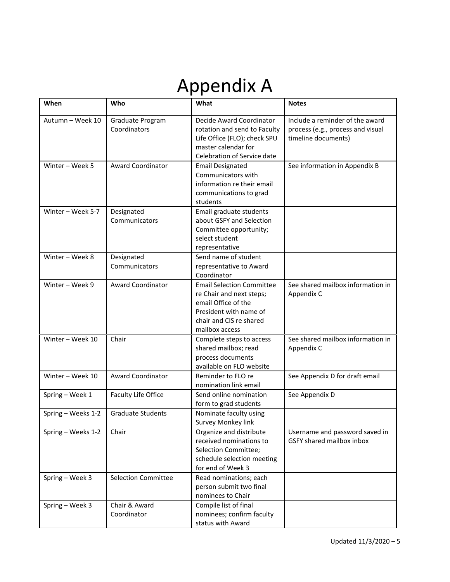# Appendix A

| When               | Who                              | What                                                                                                                                                       | <b>Notes</b>                                                                                |  |
|--------------------|----------------------------------|------------------------------------------------------------------------------------------------------------------------------------------------------------|---------------------------------------------------------------------------------------------|--|
| Autumn - Week 10   | Graduate Program<br>Coordinators | Decide Award Coordinator<br>rotation and send to Faculty<br>Life Office (FLO); check SPU<br>master calendar for<br>Celebration of Service date             | Include a reminder of the award<br>process (e.g., process and visual<br>timeline documents) |  |
| Winter - Week 5    | <b>Award Coordinator</b>         | <b>Email Designated</b><br>See information in Appendix B<br>Communicators with<br>information re their email<br>communications to grad<br>students         |                                                                                             |  |
| Winter - Week 5-7  | Designated<br>Communicators      | Email graduate students<br>about GSFY and Selection<br>Committee opportunity;<br>select student<br>representative                                          |                                                                                             |  |
| Winter - Week 8    | Designated<br>Communicators      | Send name of student<br>representative to Award<br>Coordinator                                                                                             |                                                                                             |  |
| Winter - Week 9    | Award Coordinator                | <b>Email Selection Committee</b><br>re Chair and next steps;<br>email Office of the<br>President with name of<br>chair and CIS re shared<br>mailbox access | See shared mailbox information in<br>Appendix C                                             |  |
| Winter - Week 10   | Chair                            | Complete steps to access<br>shared mailbox; read<br>process documents<br>available on FLO website                                                          | See shared mailbox information in<br>Appendix C                                             |  |
| Winter - Week 10   | Award Coordinator                | Reminder to FLO re<br>nomination link email                                                                                                                | See Appendix D for draft email                                                              |  |
| Spring - Week 1    | Faculty Life Office              | Send online nomination<br>form to grad students                                                                                                            | See Appendix D                                                                              |  |
| Spring - Weeks 1-2 | <b>Graduate Students</b>         | Nominate faculty using<br>Survey Monkey link                                                                                                               |                                                                                             |  |
| Spring - Weeks 1-2 | Chair                            | Organize and distribute<br>received nominations to<br>Selection Committee;<br>schedule selection meeting<br>for end of Week 3                              | Username and password saved in<br>GSFY shared mailbox inbox                                 |  |
| Spring - Week 3    | <b>Selection Committee</b>       | Read nominations; each<br>person submit two final<br>nominees to Chair                                                                                     |                                                                                             |  |
| Spring - Week 3    | Chair & Award<br>Coordinator     | Compile list of final<br>nominees; confirm faculty<br>status with Award                                                                                    |                                                                                             |  |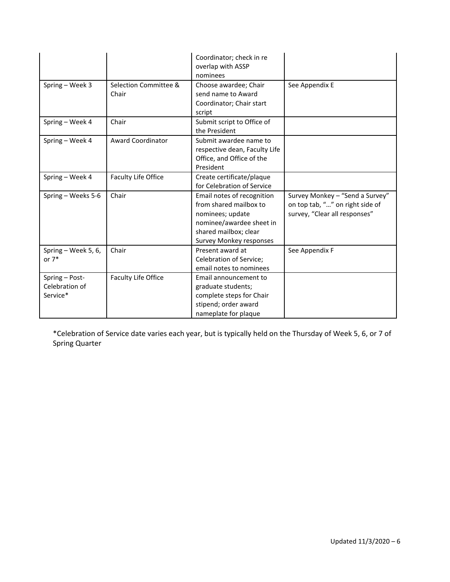|                                              |                                | Coordinator; check in re<br>overlap with ASSP<br>nominees                                                                                                |                                                                                                     |  |
|----------------------------------------------|--------------------------------|----------------------------------------------------------------------------------------------------------------------------------------------------------|-----------------------------------------------------------------------------------------------------|--|
| Spring - Week 3                              | Selection Committee &<br>Chair | Choose awardee; Chair<br>send name to Award<br>Coordinator; Chair start<br>script                                                                        | See Appendix E                                                                                      |  |
| Spring - Week 4                              | Chair                          | Submit script to Office of<br>the President                                                                                                              |                                                                                                     |  |
| Spring - Week 4                              | <b>Award Coordinator</b>       | Submit awardee name to<br>respective dean, Faculty Life<br>Office, and Office of the<br>President                                                        |                                                                                                     |  |
| Spring - Week 4                              | Faculty Life Office            | Create certificate/plaque<br>for Celebration of Service                                                                                                  |                                                                                                     |  |
| Spring - Weeks 5-6                           | Chair                          | Email notes of recognition<br>from shared mailbox to<br>nominees; update<br>nominee/awardee sheet in<br>shared mailbox; clear<br>Survey Monkey responses | Survey Monkey - "Send a Survey"<br>on top tab, "" on right side of<br>survey, "Clear all responses" |  |
| Spring - Week 5, 6,<br>or $7*$               | Chair                          | Present award at<br>Celebration of Service;<br>email notes to nominees                                                                                   | See Appendix F                                                                                      |  |
| Spring - Post-<br>Celebration of<br>Service* | <b>Faculty Life Office</b>     | Email announcement to<br>graduate students;<br>complete steps for Chair<br>stipend; order award<br>nameplate for plaque                                  |                                                                                                     |  |

\*Celebration of Service date varies each year, but is typically held on the Thursday of Week 5, 6, or 7 of Spring Quarter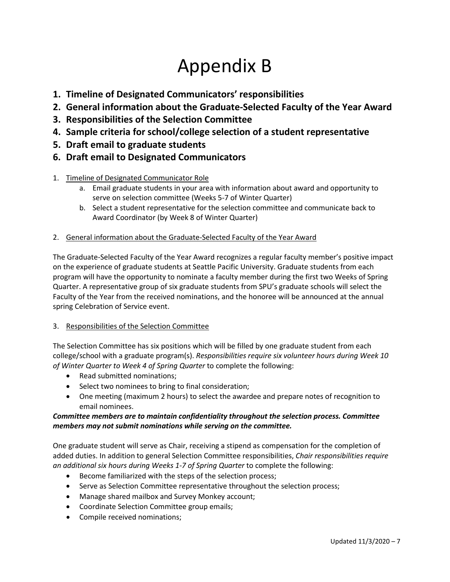# Appendix B

- **1. Timeline of Designated Communicators' responsibilities**
- **2. General information about the Graduate-Selected Faculty of the Year Award**
- **3. Responsibilities of the Selection Committee**
- **4. Sample criteria for school/college selection of a student representative**
- **5. Draft email to graduate students**
- **6. Draft email to Designated Communicators**
- 1. Timeline of Designated Communicator Role
	- a. Email graduate students in your area with information about award and opportunity to serve on selection committee (Weeks 5-7 of Winter Quarter)
	- b. Select a student representative for the selection committee and communicate back to Award Coordinator (by Week 8 of Winter Quarter)
- 2. General information about the Graduate-Selected Faculty of the Year Award

The Graduate-Selected Faculty of the Year Award recognizes a regular faculty member's positive impact on the experience of graduate students at Seattle Pacific University. Graduate students from each program will have the opportunity to nominate a faculty member during the first two Weeks of Spring Quarter. A representative group of six graduate students from SPU's graduate schools will select the Faculty of the Year from the received nominations, and the honoree will be announced at the annual spring Celebration of Service event.

## 3. Responsibilities of the Selection Committee

The Selection Committee has six positions which will be filled by one graduate student from each college/school with a graduate program(s). *Responsibilities require six volunteer hours during Week 10 of Winter Quarter to Week 4 of Spring Quarter* to complete the following:

- Read submitted nominations;
- Select two nominees to bring to final consideration;
- One meeting (maximum 2 hours) to select the awardee and prepare notes of recognition to email nominees.

## *Committee members are to maintain confidentiality throughout the selection process. Committee members may not submit nominations while serving on the committee.*

One graduate student will serve as Chair, receiving a stipend as compensation for the completion of added duties. In addition to general Selection Committee responsibilities, *Chair responsibilities require an additional six hours during Weeks 1-7 of Spring Quarter* to complete the following:

- Become familiarized with the steps of the selection process;
- Serve as Selection Committee representative throughout the selection process;
- Manage shared mailbox and Survey Monkey account;
- Coordinate Selection Committee group emails;
- Compile received nominations;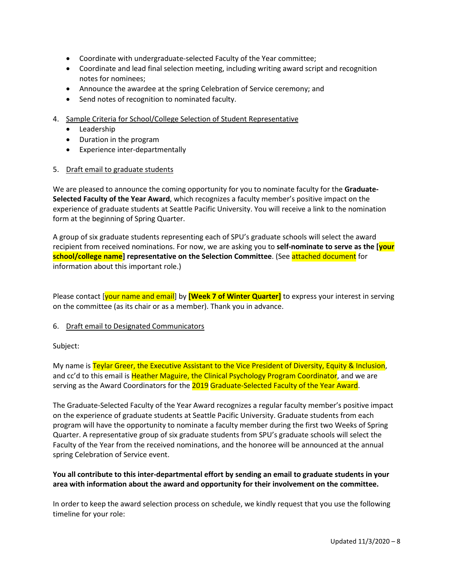- Coordinate with undergraduate-selected Faculty of the Year committee;
- Coordinate and lead final selection meeting, including writing award script and recognition notes for nominees;
- Announce the awardee at the spring Celebration of Service ceremony; and
- Send notes of recognition to nominated faculty.
- 4. Sample Criteria for School/College Selection of Student Representative
	- Leadership
	- Duration in the program
	- Experience inter-departmentally
- 5. Draft email to graduate students

We are pleased to announce the coming opportunity for you to nominate faculty for the **Graduate-Selected Faculty of the Year Award**, which recognizes a faculty member's positive impact on the experience of graduate students at Seattle Pacific University. You will receive a link to the nomination form at the beginning of Spring Quarter.

A group of six graduate students representing each of SPU's graduate schools will select the award recipient from received nominations. For now, we are asking you to **self-nominate to serve as the [your school/college name] representative on the Selection Committee**. (See attached document for information about this important role.)

Please contact [your name and email] by **[Week 7 of Winter Quarter]** to express your interest in serving on the committee (as its chair or as a member). Thank you in advance.

### 6. Draft email to Designated Communicators

### Subject:

My name is Teylar Greer, the Executive Assistant to the Vice President of Diversity, Equity & Inclusion, and cc'd to this email is Heather Maguire, the Clinical Psychology Program Coordinator, and we are serving as the Award Coordinators for the 2019 Graduate-Selected Faculty of the Year Award.

The Graduate-Selected Faculty of the Year Award recognizes a regular faculty member's positive impact on the experience of graduate students at Seattle Pacific University. Graduate students from each program will have the opportunity to nominate a faculty member during the first two Weeks of Spring Quarter. A representative group of six graduate students from SPU's graduate schools will select the Faculty of the Year from the received nominations, and the honoree will be announced at the annual spring Celebration of Service event.

### **You all contribute to this inter-departmental effort by sending an email to graduate students in your area with information about the award and opportunity for their involvement on the committee.**

In order to keep the award selection process on schedule, we kindly request that you use the following timeline for your role: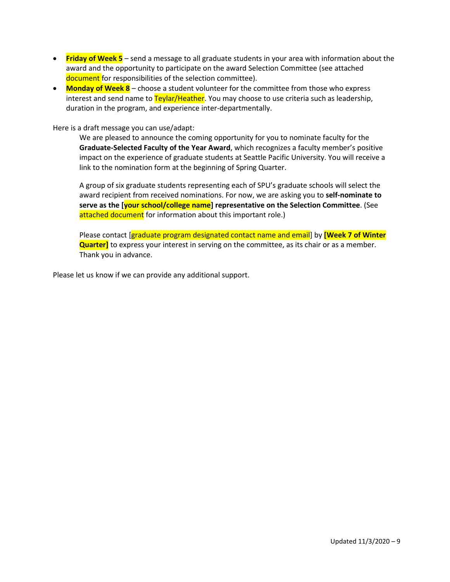- **Friday of Week 5** send a message to all graduate students in your area with information about the award and the opportunity to participate on the award Selection Committee (see attached document for responsibilities of the selection committee).
- **Monday of Week 8** choose a student volunteer for the committee from those who express interest and send name to **Teylar/Heather**. You may choose to use criteria such as leadership, duration in the program, and experience inter-departmentally.

Here is a draft message you can use/adapt:

We are pleased to announce the coming opportunity for you to nominate faculty for the **Graduate-Selected Faculty of the Year Award**, which recognizes a faculty member's positive impact on the experience of graduate students at Seattle Pacific University. You will receive a link to the nomination form at the beginning of Spring Quarter.

A group of six graduate students representing each of SPU's graduate schools will select the award recipient from received nominations. For now, we are asking you to **self-nominate to serve as the [your school/college name] representative on the Selection Committee**. (See attached document for information about this important role.)

Please contact [graduate program designated contact name and email] by **[Week 7 of Winter Quarter]** to express your interest in serving on the committee, as its chair or as a member. Thank you in advance.

Please let us know if we can provide any additional support.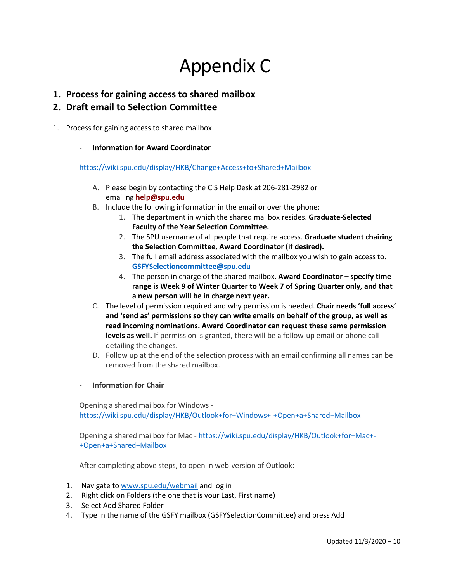## Appendix C

**1. Process for gaining access to shared mailbox**

## **2. Draft email to Selection Committee**

- 1. Process for gaining access to shared mailbox
	- **Information for Award Coordinator**

<https://wiki.spu.edu/display/HKB/Change+Access+to+Shared+Mailbox>

- A. Please begin by contacting the CIS Help Desk at 206-281-2982 or emailing **[help@spu.edu](mailto:help@spu.edu)**
- B. Include the following information in the email or over the phone:
	- 1. The department in which the shared mailbox resides. **Graduate-Selected Faculty of the Year Selection Committee.**
	- 2. The SPU username of all people that require access. **Graduate student chairing the Selection Committee, Award Coordinator (if desired).**
	- 3. The full email address associated with the mailbox you wish to gain access to. **[GSFYSelectioncommittee@spu.edu](mailto:GSFYSelectioncommittee@spu.edu)**
	- 4. The person in charge of the shared mailbox. **Award Coordinator specify time range is Week 9 of Winter Quarter to Week 7 of Spring Quarter only, and that a new person will be in charge next year.**
- C. The level of permission required and why permission is needed. **Chair needs 'full access' and 'send as' permissions so they can write emails on behalf of the group, as well as read incoming nominations. Award Coordinator can request these same permission levels as well.** If permission is granted, there will be a follow-up email or phone call detailing the changes.
- D. Follow up at the end of the selection process with an email confirming all names can be removed from the shared mailbox.
- **Information for Chair**

Opening a shared mailbox for Windows <https://wiki.spu.edu/display/HKB/Outlook+for+Windows+-+Open+a+Shared+Mailbox>

Opening a shared mailbox for Mac - [https://wiki.spu.edu/display/HKB/Outlook+for+Mac+-](https://wiki.spu.edu/display/HKB/Outlook+for+Mac+-+Open+a+Shared+Mailbox) [+Open+a+Shared+Mailbox](https://wiki.spu.edu/display/HKB/Outlook+for+Mac+-+Open+a+Shared+Mailbox)

After completing above steps, to open in web-version of Outlook:

- 1. Navigate t[o www.spu.edu/webmail](http://www.spu.edu/webmail) and log in
- 2. Right click on Folders (the one that is your Last, First name)
- 3. Select Add Shared Folder
- 4. Type in the name of the GSFY mailbox (GSFYSelectionCommittee) and press Add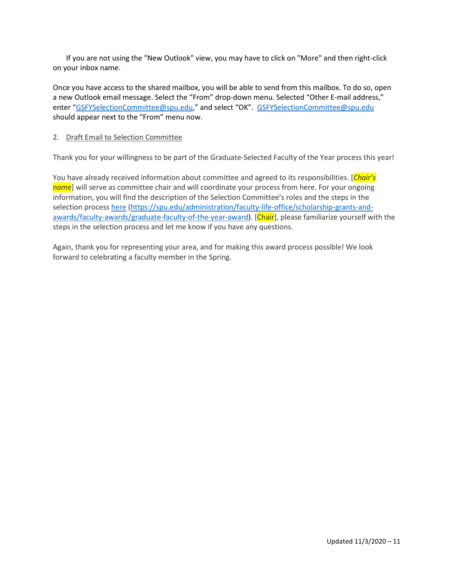If you are not using the "New Outlook" view, you may have to click on "More" and then right-click on your inbox name.

Once you have access to the shared mailbox, you will be able to send from this mailbox. To do so, open a new Outlook email message. Select the "From" drop-down menu. Selected "Other E-mail address," enter ["GSFYSelectionCommittee@spu.edu,](mailto:GSFYSelectionCommittee@spu.edu)" and select "OK". [GSFYSelectionCommittee@spu.edu](mailto:GSFYSelectionCommittee@spu.edu) should appear next to the "From" menu now.

### 2. Draft Email to Selection Committee

Thank you for your willingness to be part of the Graduate-Selected Faculty of the Year process this year!

You have already received information about committee and agreed to its responsibilities. [*Chair's name*] will serve as committee chair and will coordinate your process from here. For your ongoing information, you will find the description of the Selection Committee's roles and the steps in the selection process [here \(https://spu.edu/administration/faculty-life-office/scholarship-grants-and](https://spu.edu/administration/faculty-life-office/scholarship-grants-and-awards/faculty-awards/graduate-faculty-of-the-year-award)[awards/faculty-awards/graduate-faculty-of-the-year-award\)](https://spu.edu/administration/faculty-life-office/scholarship-grants-and-awards/faculty-awards/graduate-faculty-of-the-year-award). [Chair], please familiarize yourself with the steps in the selection process and let me know if you have any questions.

Again, thank you for representing your area, and for making this award process possible! We look forward to celebrating a faculty member in the Spring.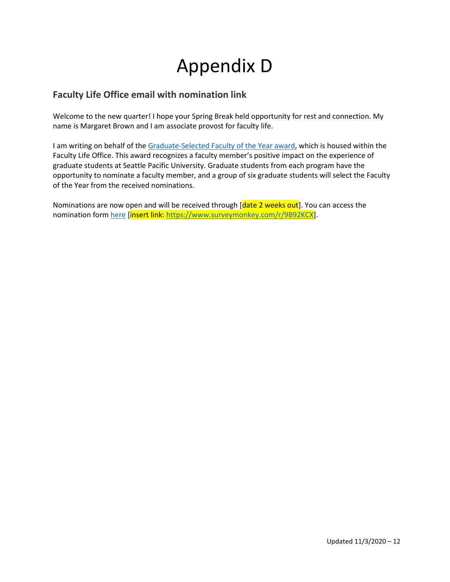# Appendix D

## **Faculty Life Office email with nomination link**

Welcome to the new quarter! I hope your Spring Break held opportunity for rest and connection. My name is Margaret Brown and I am associate provost for faculty life.

I am writing on behalf of th[e Graduate-Selected Faculty of the Year award,](https://digitalobby.spu.edu/csfd/graduate-student-selected-faculty-of-the-year-award/) which is housed within the Faculty Life Office. This award recognizes a faculty member's positive impact on the experience of graduate students at Seattle Pacific University. Graduate students from each program have the opportunity to nominate a faculty member, and a group of six graduate students will select the Faculty of the Year from the received nominations.

Nominations are now open and will be received through [date 2 weeks out]. You can access the nomination for[m here](https://www.surveymonkey.com/r/9B92KCX) [insert link: [https://www.surveymonkey.com/r/9B92KCX\]](https://www.surveymonkey.com/r/9B92KCX).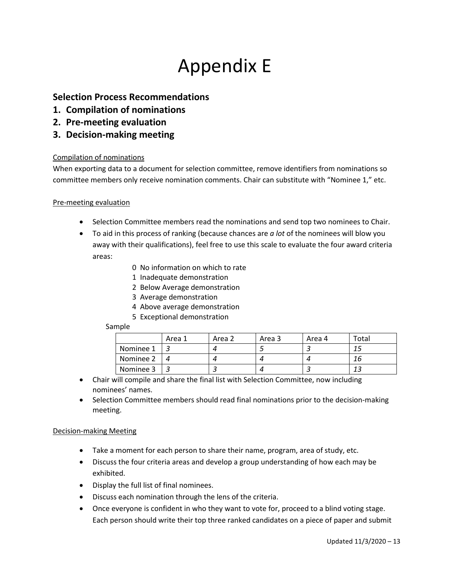## Appendix E

## **Selection Process Recommendations**

- **1. Compilation of nominations**
- **2. Pre-meeting evaluation**
- **3. Decision-making meeting**

## Compilation of nominations

When exporting data to a document for selection committee, remove identifiers from nominations so committee members only receive nomination comments. Chair can substitute with "Nominee 1," etc.

## Pre-meeting evaluation

- Selection Committee members read the nominations and send top two nominees to Chair.
- To aid in this process of ranking (because chances are *a lot* of the nominees will blow you away with their qualifications), feel free to use this scale to evaluate the four award criteria areas:
	- 0 No information on which to rate
	- 1 Inadequate demonstration
	- 2 Below Average demonstration
	- 3 Average demonstration
	- 4 Above average demonstration
	- 5 Exceptional demonstration

### Sample

|           | Area 1 | Area 2 | Area 3 | Area 4 | Total |
|-----------|--------|--------|--------|--------|-------|
| Nominee 1 |        |        |        |        | ن 1   |
| Nominee 2 |        |        |        |        | 16    |
| Nominee 3 |        |        |        |        | 12    |

- Chair will compile and share the final list with Selection Committee, now including nominees' names.
- Selection Committee members should read final nominations prior to the decision-making meeting.

### Decision-making Meeting

- Take a moment for each person to share their name, program, area of study, etc.
- Discuss the four criteria areas and develop a group understanding of how each may be exhibited.
- Display the full list of final nominees.
- Discuss each nomination through the lens of the criteria.
- Once everyone is confident in who they want to vote for, proceed to a blind voting stage. Each person should write their top three ranked candidates on a piece of paper and submit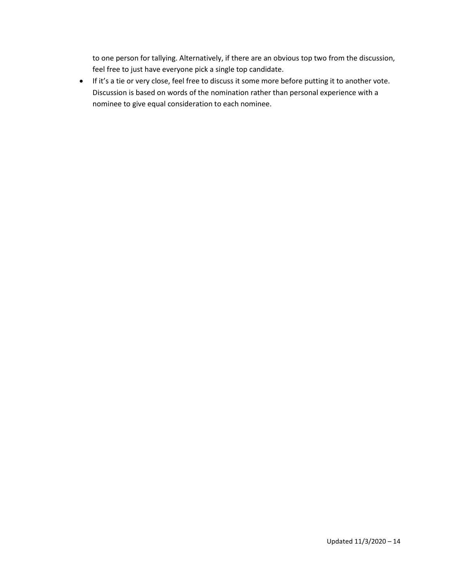to one person for tallying. Alternatively, if there are an obvious top two from the discussion, feel free to just have everyone pick a single top candidate.

• If it's a tie or very close, feel free to discuss it some more before putting it to another vote. Discussion is based on words of the nomination rather than personal experience with a nominee to give equal consideration to each nominee.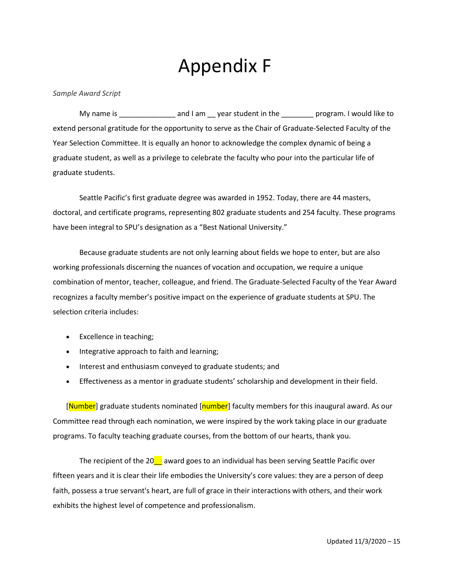## Appendix F

*Sample Award Script*

My name is \_\_\_\_\_\_\_\_\_\_\_\_\_\_\_\_ and I am \_\_ year student in the \_\_\_\_\_\_\_\_ program. I would like to extend personal gratitude for the opportunity to serve as the Chair of Graduate-Selected Faculty of the Year Selection Committee. It is equally an honor to acknowledge the complex dynamic of being a graduate student, as well as a privilege to celebrate the faculty who pour into the particular life of graduate students.

Seattle Pacific's first graduate degree was awarded in 1952. Today, there are 44 masters, doctoral, and certificate programs, representing 802 graduate students and 254 faculty. These programs have been integral to SPU's designation as a "Best National University."

Because graduate students are not only learning about fields we hope to enter, but are also working professionals discerning the nuances of vocation and occupation, we require a unique combination of mentor, teacher, colleague, and friend. The Graduate-Selected Faculty of the Year Award recognizes a faculty member's positive impact on the experience of graduate students at SPU. The selection criteria includes:

- Excellence in teaching;
- Integrative approach to faith and learning;
- Interest and enthusiasm conveyed to graduate students; and
- Effectiveness as a mentor in graduate students' scholarship and development in their field.

[Number] graduate students nominated [number] faculty members for this inaugural award. As our Committee read through each nomination, we were inspired by the work taking place in our graduate programs. To faculty teaching graduate courses, from the bottom of our hearts, thank you.

The recipient of the 20 $\blacksquare$  award goes to an individual has been serving Seattle Pacific over fifteen years and it is clear their life embodies the University's core values: they are a person of deep faith, possess a true servant's heart, are full of grace in their interactions with others, and their work exhibits the highest level of competence and professionalism.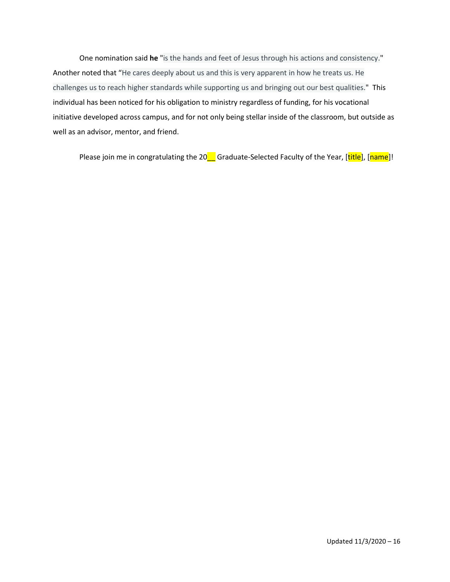One nomination said **he** "is the hands and feet of Jesus through his actions and consistency." Another noted that "He cares deeply about us and this is very apparent in how he treats us. He challenges us to reach higher standards while supporting us and bringing out our best qualities." This individual has been noticed for his obligation to ministry regardless of funding, for his vocational initiative developed across campus, and for not only being stellar inside of the classroom, but outside as well as an advisor, mentor, and friend.

Please join me in congratulating the 20\_ Graduate-Selected Faculty of the Year, [title], [name]!